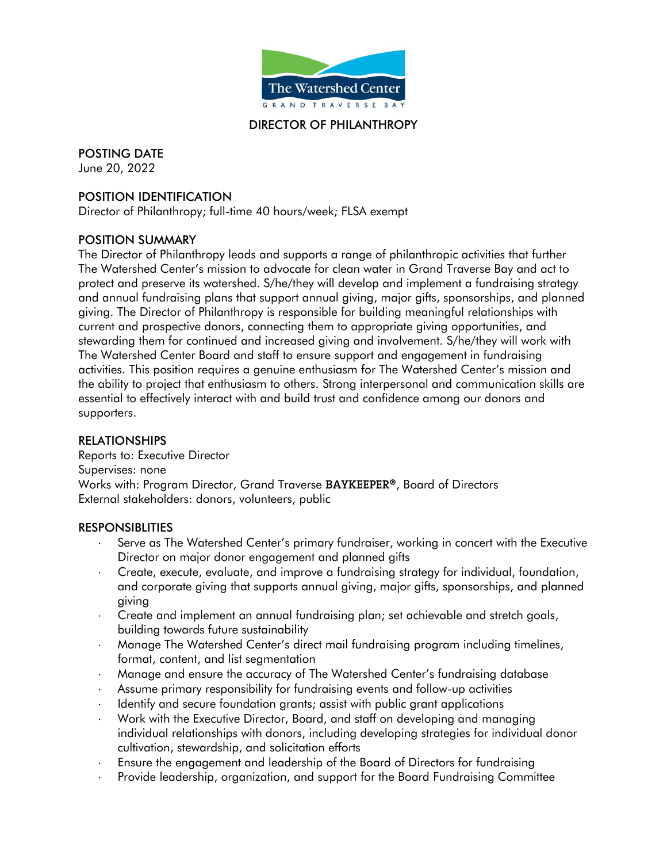

### DIRECTOR OF PHILANTHROPY

POSTING DATE

June 20, 2022

## POSITION IDENTIFICATION

Director of Philanthropy; full-time 40 hours/week; FLSA exempt

### POSITION SUMMARY

The Director of Philanthropy leads and supports a range of philanthropic activities that further The Watershed Center's mission to advocate for clean water in Grand Traverse Bay and act to protect and preserve its watershed. S/he/they will develop and implement a fundraising strategy and annual fundraising plans that support annual giving, major gifts, sponsorships, and planned giving. The Director of Philanthropy is responsible for building meaningful relationships with current and prospective donors, connecting them to appropriate giving opportunities, and stewarding them for continued and increased giving and involvement. S/he/they will work with The Watershed Center Board and staff to ensure support and engagement in fundraising activities. This position requires a genuine enthusiasm for The Watershed Center's mission and the ability to project that enthusiasm to others. Strong interpersonal and communication skills are essential to effectively interact with and build trust and confidence among our donors and supporters.

### RELATIONSHIPS

Reports to: Executive Director Supervises: none Works with: Program Director, Grand Traverse **BAYKEEPER®**, Board of Directors External stakeholders: donors, volunteers, public

### **RESPONSIBLITIES**

- Serve as The Watershed Center's primary fundraiser, working in concert with the Executive Director on major donor engagement and planned gifts
- Create, execute, evaluate, and improve a fundraising strategy for individual, foundation, and corporate giving that supports annual giving, major gifts, sponsorships, and planned giving
- Create and implement an annual fundraising plan; set achievable and stretch goals, building towards future sustainability
- Manage The Watershed Center's direct mail fundraising program including timelines, format, content, and list segmentation
- Manage and ensure the accuracy of The Watershed Center's fundraising database
- Assume primary responsibility for fundraising events and follow-up activities
- I ldentify and secure foundation grants; assist with public grant applications
- Work with the Executive Director, Board, and staff on developing and managing individual relationships with donors, including developing strategies for individual donor cultivation, stewardship, and solicitation efforts
- Ensure the engagement and leadership of the Board of Directors for fundraising
- Provide leadership, organization, and support for the Board Fundraising Committee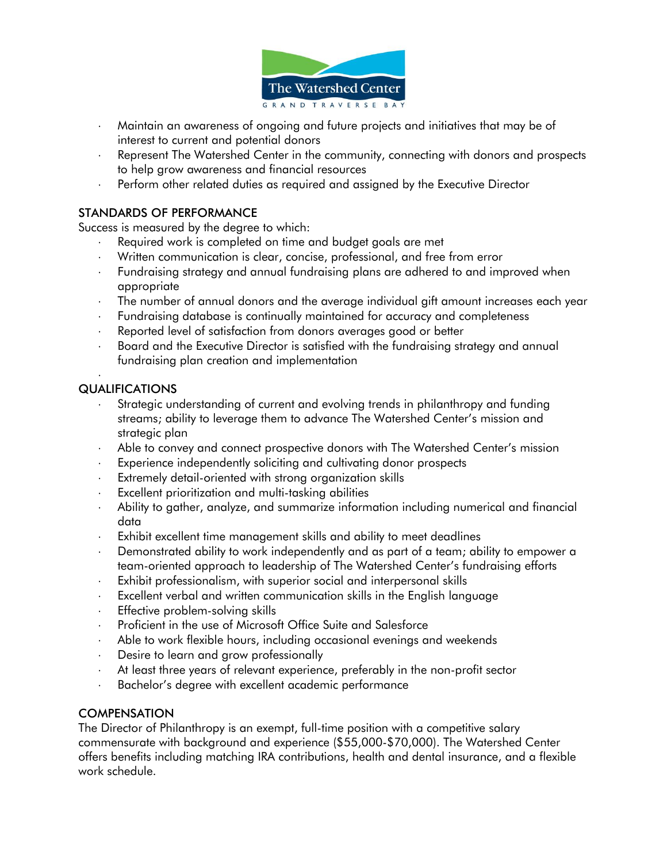

- Maintain an awareness of ongoing and future projects and initiatives that may be of interest to current and potential donors
- Represent The Watershed Center in the community, connecting with donors and prospects to help grow awareness and financial resources
- Perform other related duties as required and assigned by the Executive Director

## STANDARDS OF PERFORMANCE

Success is measured by the degree to which:

- Required work is completed on time and budget goals are met
- Written communication is clear, concise, professional, and free from error
- Fundraising strategy and annual fundraising plans are adhered to and improved when appropriate
- The number of annual donors and the average individual gift amount increases each year
- Fundraising database is continually maintained for accuracy and completeness
- Reported level of satisfaction from donors averages good or better
- Board and the Executive Director is satisfied with the fundraising strategy and annual fundraising plan creation and implementation

#### . QUALIFICATIONS

- Strategic understanding of current and evolving trends in philanthropy and funding streams; ability to leverage them to advance The Watershed Center's mission and strategic plan
- Able to convey and connect prospective donors with The Watershed Center's mission
- Experience independently soliciting and cultivating donor prospects
- Extremely detail-oriented with strong organization skills
- Excellent prioritization and multi-tasking abilities
- Ability to gather, analyze, and summarize information including numerical and financial data
- Exhibit excellent time management skills and ability to meet deadlines
- Demonstrated ability to work independently and as part of a team; ability to empower a team-oriented approach to leadership of The Watershed Center's fundraising efforts
- Exhibit professionalism, with superior social and interpersonal skills
- Excellent verbal and written communication skills in the English language
- Effective problem-solving skills
- Proficient in the use of Microsoft Office Suite and Salesforce
- Able to work flexible hours, including occasional evenings and weekends
- Desire to learn and grow professionally
- At least three years of relevant experience, preferably in the non-profit sector
- Bachelor's degree with excellent academic performance

# **COMPENSATION**

The Director of Philanthropy is an exempt, full-time position with a competitive salary commensurate with background and experience (\$55,000-\$70,000). The Watershed Center offers benefits including matching IRA contributions, health and dental insurance, and a flexible work schedule.